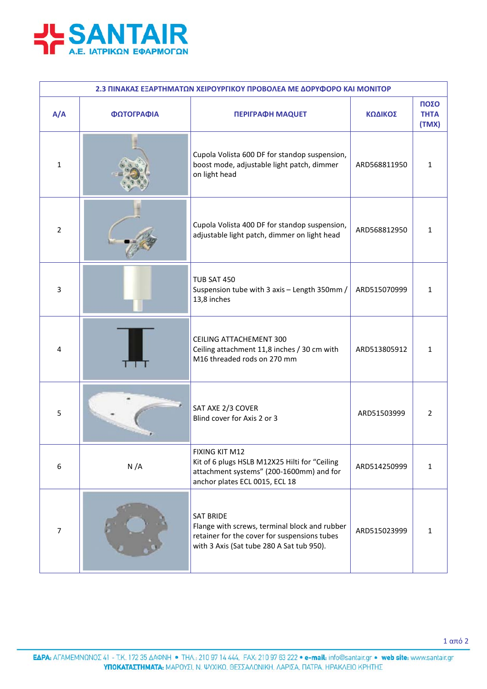

| 2.3 ΠΙΝΑΚΑΣ ΕΞΑΡΤΗΜΑΤΩΝ ΧΕΙΡΟΥΡΓΙΚΟΥ ΠΡΟΒΟΛΕΑ ΜΕ ΔΟΡΥΦΟΡΟ ΚΑΙ ΜΟΝΙΤΟΡ |            |                                                                                                                                                                |              |                              |  |  |  |
|-----------------------------------------------------------------------|------------|----------------------------------------------------------------------------------------------------------------------------------------------------------------|--------------|------------------------------|--|--|--|
| A/A                                                                   | ΦΩΤΟΓΡΑΦΙΑ | <b>ΠΕΡΙΓΡΑΦΗ ΜΑQUET</b>                                                                                                                                        | ΚΩΔΙΚΟΣ      | ΠΟΣΟ<br><b>THTA</b><br>(TMX) |  |  |  |
| $\mathbf{1}$                                                          |            | Cupola Volista 600 DF for standop suspension,<br>boost mode, adjustable light patch, dimmer<br>on light head                                                   | ARD568811950 | $\mathbf{1}$                 |  |  |  |
| 2                                                                     |            | Cupola Volista 400 DF for standop suspension,<br>adjustable light patch, dimmer on light head                                                                  | ARD568812950 | 1                            |  |  |  |
| 3                                                                     |            | <b>TUB SAT 450</b><br>Suspension tube with 3 axis - Length 350mm /<br>13,8 inches                                                                              | ARD515070999 | $\mathbf{1}$                 |  |  |  |
| 4                                                                     |            | <b>CEILING ATTACHEMENT 300</b><br>Ceiling attachment 11,8 inches / 30 cm with<br>M16 threaded rods on 270 mm                                                   | ARD513805912 | 1                            |  |  |  |
| 5                                                                     |            | SAT AXE 2/3 COVER<br>Blind cover for Axis 2 or 3                                                                                                               | ARD51503999  | $\overline{2}$               |  |  |  |
| 6                                                                     | N/A        | FIXING KIT M12<br>Kit of 6 plugs HSLB M12X25 Hilti for "Ceiling<br>attachment systems" (200-1600mm) and for<br>anchor plates ECL 0015, ECL 18                  | ARD514250999 | $\mathbf{1}$                 |  |  |  |
| $\overline{7}$                                                        |            | <b>SAT BRIDE</b><br>Flange with screws, terminal block and rubber<br>retainer for the cover for suspensions tubes<br>with 3 Axis (Sat tube 280 A Sat tub 950). | ARD515023999 | $\mathbf{1}$                 |  |  |  |